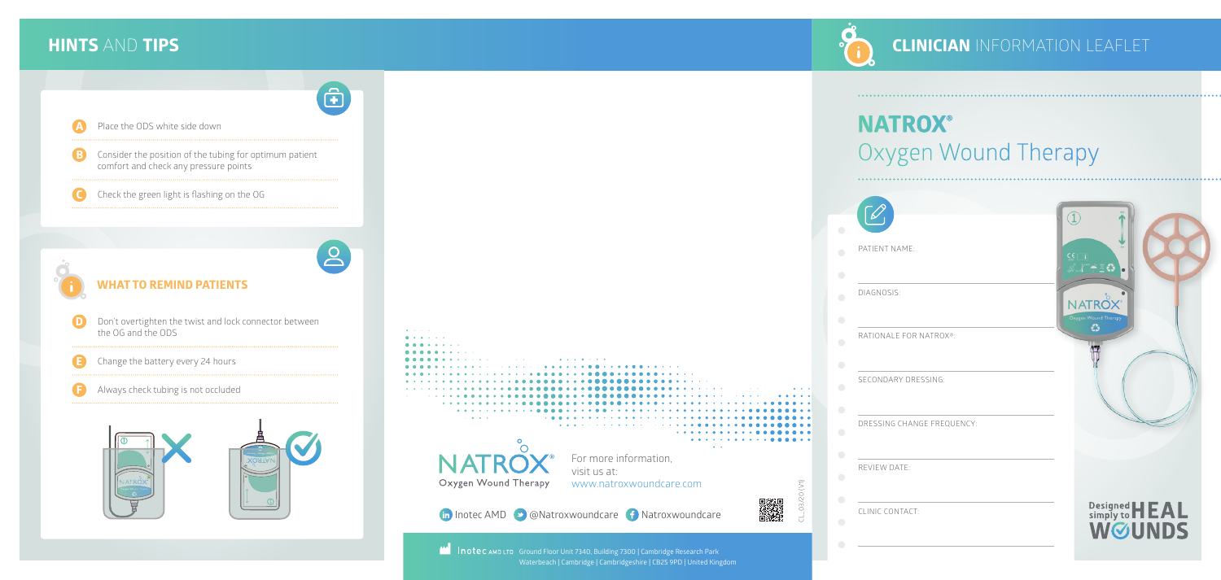## **CLINICIAN** INFORMATION LEAFLET

### **HINTS** AND **TIPS**